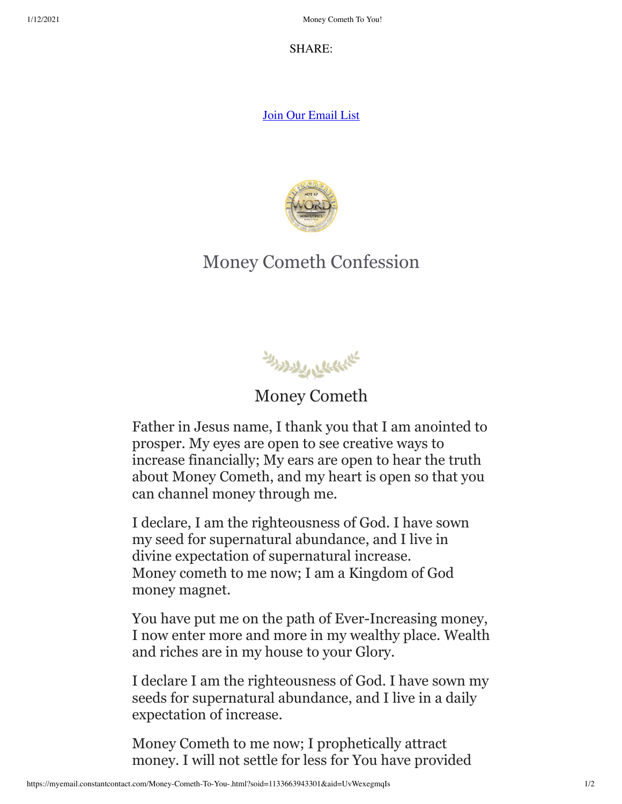SH[AR](https://s.rs6.net/t?e=UvWexegmqIs&c=1&r=1)E:

[Join Our Email List](https://visitor.constantcontact.com/d.jsp?m=1133663943301&p=oi)



## Money Cometh Confession

المسلم المسلم المسلم المسلم المسلم المسلم المسلم المسلم المسلم المسلم المسلم المسلم المسلم المسلم المسلم المسلم <br>المسلم المسلم المسلم المسلم المسلم المسلم المسلم المسلم المسلم المسلم المسلم المسلم المسلم المسلم المسلم الم

Money Cometh

Father in Jesus name, I thank you that I am anointed to prosper. My eyes are open to see creative ways to increase financially; My ears are open to hear the truth about Money Cometh, and my heart is open so that you can channel money through me.

I declare, I am the righteousness of God. I have sown my seed for supernatural abundance, and I live in divine expectation of supernatural increase. Money cometh to me now; I am a Kingdom of God money magnet.

You have put me on the path of Ever-Increasing money, I now enter more and more in my wealthy place. Wealth and riches are in my house to your Glory.

I declare I am the righteousness of God. I have sown my seeds for supernatural abundance, and I live in a daily expectation of increase.

Money Cometh to me now; I prophetically attract money. I will not settle for less for You have provided